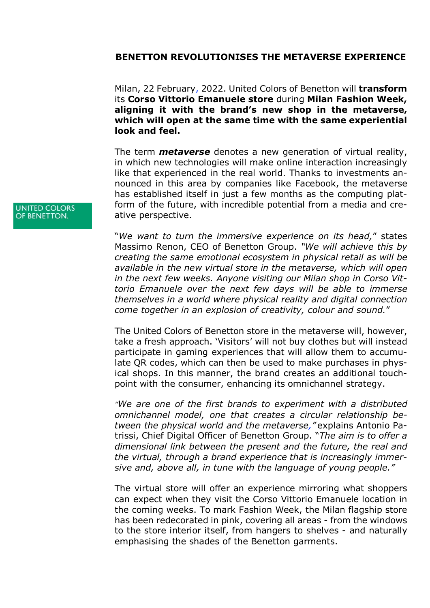## **BENETTON REVOLUTIONISES THE METAVERSE EXPERIENCE**

Milan, 22 February, 2022. United Colors of Benetton will **transform** its **Corso Vittorio Emanuele store** during **Milan Fashion Week, aligning it with the brand's new shop in the metaverse, which will open at the same time with the same experiential look and feel.**

The term *metaverse* denotes a new generation of virtual reality, in which new technologies will make online interaction increasingly like that experienced in the real world. Thanks to investments announced in this area by companies like Facebook, the metaverse has established itself in just a few months as the computing platform of the future, with incredible potential from a media and creative perspective.

"*We want to turn the immersive experience on its head,*" states Massimo Renon, CEO of Benetton Group. *"We will achieve this by creating the same emotional ecosystem in physical retail as will be available in the new virtual store in the metaverse, which will open in the next few weeks. Anyone visiting our Milan shop in Corso Vittorio Emanuele over the next few days will be able to immerse themselves in a world where physical reality and digital connection come together in an explosion of creativity, colour and sound.*"

The United Colors of Benetton store in the metaverse will, however, take a fresh approach. 'Visitors' will not buy clothes but will instead participate in gaming experiences that will allow them to accumulate QR codes, which can then be used to make purchases in physical shops. In this manner, the brand creates an additional touchpoint with the consumer, enhancing its omnichannel strategy.

*"We are one of the first brands to experiment with a distributed omnichannel model, one that creates a circular relationship between the physical world and the metaverse,"* explains Antonio Patrissi, Chief Digital Officer of Benetton Group. "*The aim is to offer a dimensional link between the present and the future, the real and the virtual, through a brand experience that is increasingly immersive and, above all, in tune with the language of young people."*

The virtual store will offer an experience mirroring what shoppers can expect when they visit the Corso Vittorio Emanuele location in the coming weeks. To mark Fashion Week, the Milan flagship store has been redecorated in pink, covering all areas - from the windows to the store interior itself, from hangers to shelves - and naturally emphasising the shades of the Benetton garments.

**UNITED COLORS** OF BENETTON.